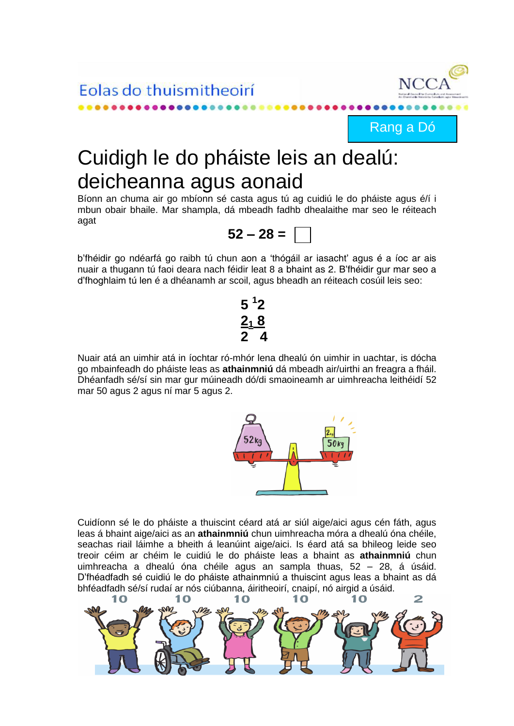Eolas do thuismitheoirí



Rang a Dó

## Cuidigh le do pháiste leis an dealú: deicheanna agus aonaid

Bíonn an chuma air go mbíonn sé casta agus tú ag cuidiú le do pháiste agus é/í i mbun obair bhaile. Mar shampla, dá mbeadh fadhb dhealaithe mar seo le réiteach agat



b'fhéidir go ndéarfá go raibh tú chun aon a 'thógáil ar iasacht' agus é a íoc ar ais nuair a thugann tú faoi deara nach féidir leat 8 a bhaint as 2. B'fhéidir gur mar seo a d'fhoghlaim tú len é a dhéanamh ar scoil, agus bheadh an réiteach cosúil leis seo:

## **5 <sup>1</sup> 2 2<sup>1</sup> 8 2 4**

Nuair atá an uimhir atá in íochtar ró-mhór lena dhealú ón uimhir in uachtar, is dócha go mbainfeadh do pháiste leas as **athainmniú** dá mbeadh air/uirthi an freagra a fháil. Dhéanfadh sé/sí sin mar gur múineadh dó/di smaoineamh ar uimhreacha leithéidí 52 mar 50 agus 2 agus ní mar 5 agus 2.



Cuidíonn sé le do pháiste a thuiscint céard atá ar siúl aige/aici agus cén fáth, agus leas á bhaint aige/aici as an **athainmniú** chun uimhreacha móra a dhealú óna chéile, seachas riail láimhe a bheith á leanúint aige/aici. Is éard atá sa bhileog leide seo treoir céim ar chéim le cuidiú le do pháiste leas a bhaint as **athainmniú** chun uimhreacha a dhealú óna chéile agus an sampla thuas, 52 – 28, á úsáid. D'fhéadfadh sé cuidiú le do pháiste athainmniú a thuiscint agus leas a bhaint as dá bhféadfadh sé/sí rudaí ar nós ciúbanna, áiritheoirí, cnaipí, nó airgid a úsáid.

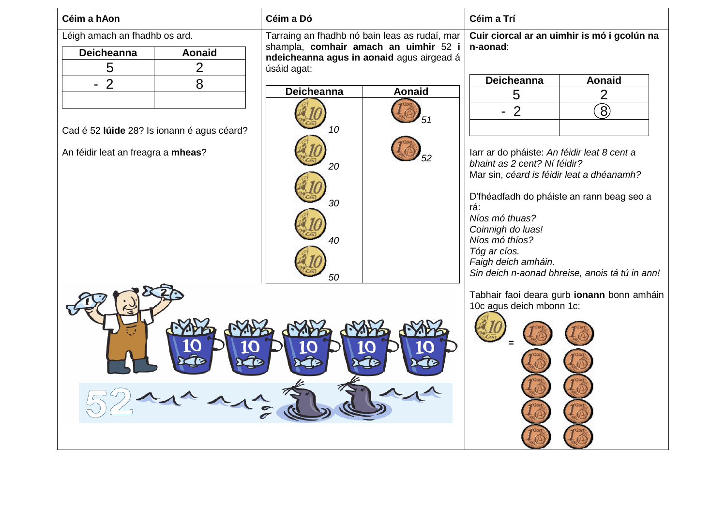| Céim a hAon                                                                      |                | Céim a Dó                                                                                                                                                                                                                     | Céim a Trí                                                                                                                                            |                |  |
|----------------------------------------------------------------------------------|----------------|-------------------------------------------------------------------------------------------------------------------------------------------------------------------------------------------------------------------------------|-------------------------------------------------------------------------------------------------------------------------------------------------------|----------------|--|
| Léigh amach an fhadhb os ard.<br>Deicheanna<br><b>Aonaid</b>                     |                | Tarraing an fhadhb nó bain leas as rudaí, mar<br>shampla, comhair amach an uimhir 52 i<br>ndeicheanna agus in aonaid agus airgead á                                                                                           | Cuir ciorcal ar an uimhir is mó i gcolún na<br>n-aonad:                                                                                               |                |  |
| 5                                                                                | $\overline{2}$ | úsáid agat:                                                                                                                                                                                                                   | <b>Deicheanna</b>                                                                                                                                     | <b>Aonaid</b>  |  |
| $-2$                                                                             | 8              | <b>Deicheanna</b><br><b>Aonaid</b>                                                                                                                                                                                            | 5                                                                                                                                                     | $\overline{2}$ |  |
| Cad é 52 lúide 28? Is ionann é agus céard?<br>An féidir leat an freagra a mheas? |                | $\left( \mathbf{8}\right)$<br>$-2$<br>10<br>larr ar do pháiste: An féidir leat 8 cent a<br>bhaint as 2 cent? Ní féidir?<br>20<br>Mar sin, céard is féidir leat a dhéanamh?<br>D'fhéadfadh do pháiste an rann beag seo a<br>30 |                                                                                                                                                       |                |  |
|                                                                                  |                | 40<br>50                                                                                                                                                                                                                      | rá:<br>Níos mó thuas?<br>Coinnigh do luas!<br>Níos mó thíos?<br>Tóg ar cíos.<br>Faigh deich amháin.<br>Sin deich n-aonad bhreise, anois tá tú in ann! |                |  |
|                                                                                  |                | Tabhair faoi deara gurb ionann bonn amháin<br>10c agus deich mbonn 1c:                                                                                                                                                        |                                                                                                                                                       |                |  |
|                                                                                  |                |                                                                                                                                                                                                                               |                                                                                                                                                       |                |  |